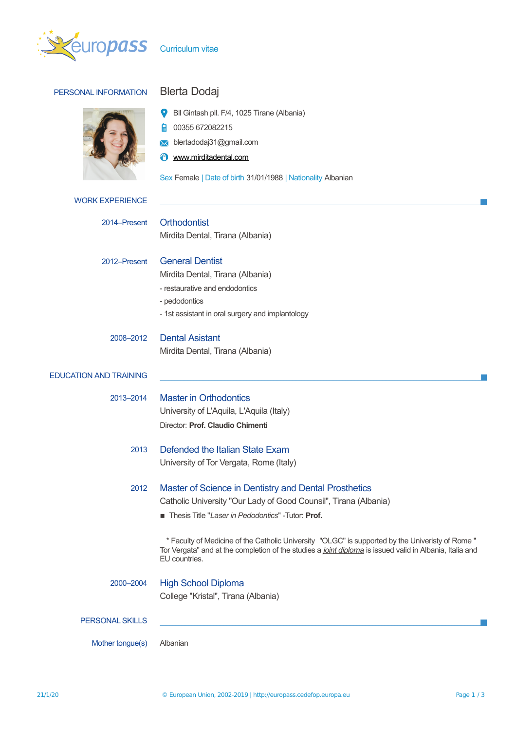

| PERSONAL INFORMATION          | <b>Blerta Dodaj</b>                                                                                                                                                                                                           |
|-------------------------------|-------------------------------------------------------------------------------------------------------------------------------------------------------------------------------------------------------------------------------|
|                               | Bll Gintash pll. F/4, 1025 Tirane (Albania)<br>00355 672082215<br>blertadodaj31@gmail.com<br>www.mirditadental.com<br>Sex Female   Date of birth 31/01/1988   Nationality Albanian                                            |
| <b>WORK EXPERIENCE</b>        |                                                                                                                                                                                                                               |
| 2014–Present                  | Orthodontist<br>Mirdita Dental, Tirana (Albania)                                                                                                                                                                              |
| 2012-Present                  | <b>General Dentist</b><br>Mirdita Dental, Tirana (Albania)<br>- restaurative and endodontics<br>- pedodontics<br>- 1st assistant in oral surgery and implantology                                                             |
| 2008-2012                     | <b>Dental Asistant</b><br>Mirdita Dental, Tirana (Albania)                                                                                                                                                                    |
| <b>EDUCATION AND TRAINING</b> |                                                                                                                                                                                                                               |
| 2013-2014                     | <b>Master in Orthodontics</b><br>University of L'Aquila, L'Aquila (Italy)<br>Director: Prof. Claudio Chimenti                                                                                                                 |
| 2013                          | Defended the Italian State Exam<br>University of Tor Vergata, Rome (Italy)                                                                                                                                                    |
| 2012                          | Master of Science in Dentistry and Dental Prosthetics<br>Catholic University "Our Lady of Good Counsil", Tirana (Albania)<br>Thesis Title "Laser in Pedodontics" - Tutor: Prof.                                               |
|                               | * Faculty of Medicine of the Catholic University "OLGC" is supported by the Univeristy of Rome "<br>Tor Vergata" and at the completion of the studies a joint diploma is issued valid in Albania, Italia and<br>EU countries. |
| 2000-2004                     | <b>High School Diploma</b><br>College "Kristal", Tirana (Albania)                                                                                                                                                             |
| <b>PERSONAL SKILLS</b>        |                                                                                                                                                                                                                               |
| Mother tongue(s)              | Albanian                                                                                                                                                                                                                      |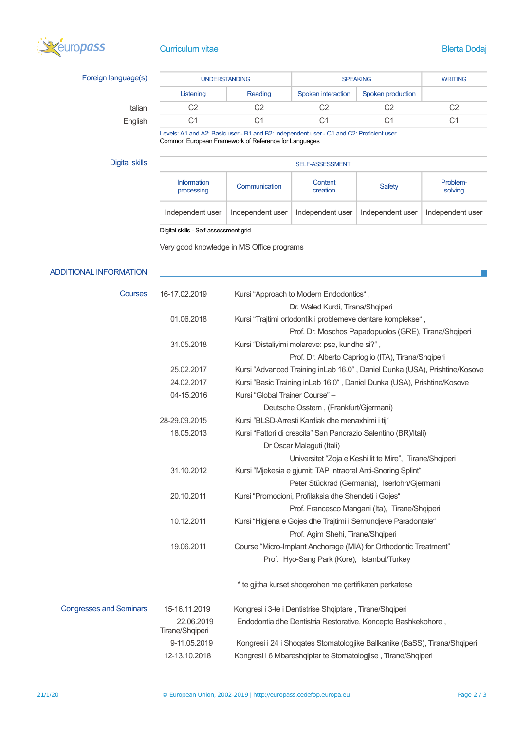

## **Curriculum vitae Blerta Dodaj**

 $\mathbb{R}^n$ 

| Foreign language(s) | <b>UNDERSTANDING</b> |         | <b>SPEAKING</b>    |                   | <b>WRITING</b> |
|---------------------|----------------------|---------|--------------------|-------------------|----------------|
|                     | Listening            | Reading | Spoken interaction | Spoken production |                |
| Italian             | C2                   | C2      | C2                 | C2                | C2             |
| English             | С1                   | С1      | C1                 | С1                | C1             |

Levels: A1 and A2: Basic user - B1 and B2: Independent user - C1 and C2: Proficient user [Common European Framework of Reference for Languages](http://europass.cedefop.europa.eu/en/resources/european-language-levels-cefr)

| Digital skills | <b>SELF-ASSESSMENT</b>                |                  |                     |                  |                     |
|----------------|---------------------------------------|------------------|---------------------|------------------|---------------------|
|                | <b>Information</b><br>processing      | Communication    | Content<br>creation | <b>Safety</b>    | Problem-<br>solving |
|                | Independent user                      | Independent user | Independent user    | Independent user | Independent user    |
|                | Digital skills - Self-assessment grid |                  |                     |                  |                     |

Very good knowledge in MS Office programs

## ADDITIONAL INFORMATION

| Courses                        | 16-17.02.2019                 | Kursi "Approach to Modern Endodontics",                                    |
|--------------------------------|-------------------------------|----------------------------------------------------------------------------|
|                                |                               | Dr. Waled Kurdi, Tirana/Shqiperi                                           |
|                                | 01.06.2018                    | Kursi "Trajtimi ortodontik i problemeve dentare komplekse",                |
|                                |                               | Prof. Dr. Moschos Papadopuolos (GRE), Tirana/Shqiperi                      |
|                                | 31.05.2018                    | Kursi "Distaliyimi molareve: pse, kur dhe si?",                            |
|                                |                               | Prof. Dr. Alberto Caprioglio (ITA), Tirana/Shqiperi                        |
|                                | 25.02.2017                    | Kursi "Advanced Training inLab 16.0", Daniel Dunka (USA), Prishtine/Kosove |
|                                | 24.02.2017                    | Kursi "Basic Training inLab 16.0", Daniel Dunka (USA), Prishtine/Kosove    |
|                                | 04-15.2016                    | Kursi "Global Trainer Course" -                                            |
|                                |                               | Deutsche Osstem, (Frankfurt/Gjermani)                                      |
|                                | 28-29.09.2015                 | Kursi "BLSD-Arresti Kardiak dhe menaxhimi i tij"                           |
|                                | 18.05.2013                    | Kursi "Fattori di crescita" San Pancrazio Salentino (BR)/Itali)            |
|                                |                               | Dr Oscar Malaguti (Itali)                                                  |
|                                |                               | Universitet "Zoja e Keshillit te Mire", Tirane/Shqiperi                    |
|                                | 31.10.2012                    | Kursi "Mjekesia e gjumit: TAP Intraoral Anti-Snoring Splint"               |
|                                |                               | Peter Stückrad (Germania), Iserlohn/Gjermani                               |
|                                | 20.10.2011                    | Kursi "Promocioni, Profilaksia dhe Shendeti i Gojes"                       |
|                                |                               | Prof. Francesco Mangani (Ita), Tirane/Shqiperi                             |
|                                | 10.12.2011                    | Kursi "Higjena e Gojes dhe Trajtimi i Semundjeve Paradontale"              |
|                                |                               | Prof. Agim Shehi, Tirane/Shqiperi                                          |
|                                | 19.06.2011                    | Course "Micro-Implant Anchorage (MIA) for Orthodontic Treatment"           |
|                                |                               | Prof. Hyo-Sang Park (Kore), Istanbul/Turkey                                |
|                                |                               | * te gjitha kurset shoqerohen me çertifikaten perkatese                    |
| <b>Congresses and Seminars</b> | 15-16.11.2019                 | Kongresi i 3-te i Dentistrise Shqiptare, Tirane/Shqiperi                   |
|                                | 22.06.2019<br>Tirane/Shqiperi | Endodontia dhe Dentistria Restorative, Koncepte Bashkekohore,              |
|                                | 9-11.05.2019                  | Kongresi i 24 i Shoqates Stomatologjike Ballkanike (BaSS), Tirana/Shqiperi |
|                                | 12-13.10.2018                 | Kongresi i 6 Mbareshqiptar te Stomatologjise, Tirane/Shqiperi              |